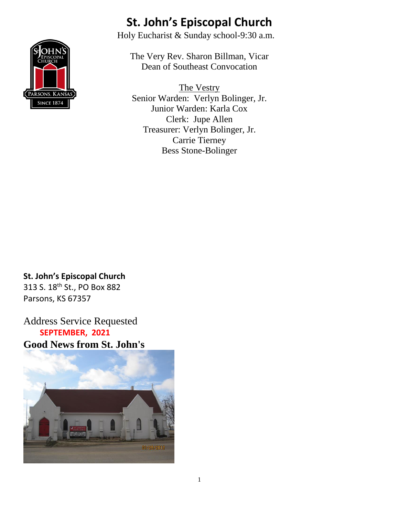

### **St. John's Episcopal Church**

Holy Eucharist & Sunday school-9:30 a.m.

The Very Rev. Sharon Billman, Vicar Dean of Southeast Convocation

The Vestry Senior Warden: Verlyn Bolinger, Jr. Junior Warden: Karla Cox Clerk: Jupe Allen Treasurer: Verlyn Bolinger, Jr. Carrie Tierney Bess Stone-Bolinger

**St. John's Episcopal Church** 313 S. 18th St., PO Box 882 Parsons, KS 67357

Address Service Requested  **SEPTEMBER, 2021 Good News from St. John's**

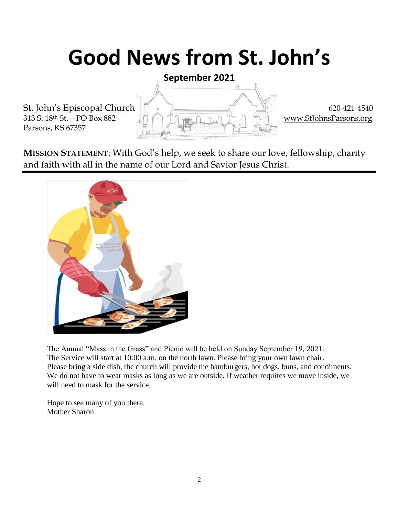# **Good News from St. John's**

**September 2021**

Parsons, KS 67357



**MISSION STATEMENT**: With God's help, we seek to share our love, fellowship, charity and faith with all in the name of our Lord and Savior Jesus Christ.



The Annual "Mass in the Grass" and Picnic will be held on Sunday September 19, 2021. The Service will start at 10:00 a.m. on the north lawn. Please bring your own lawn chair. Please bring a side dish, the church will provide the hamburgers, hot dogs, buns, and condiments. We do not have to wear masks as long as we are outside. If weather requires we move inside, we will need to mask for the service.

Hope to see many of you there. Mother Sharon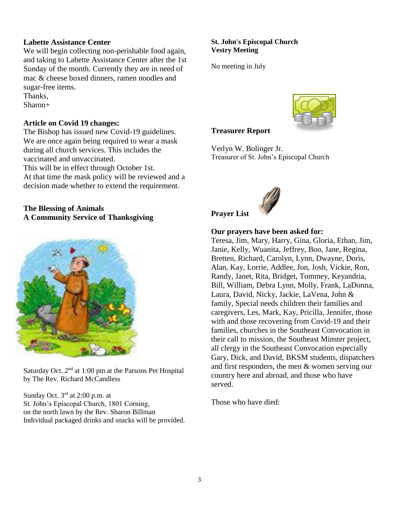#### **Labette Assistance Center**

We will begin collecting non-perishable food again, and taking to Labette Assistance Center after the 1st Sunday of the month. Currently they are in need of mac & cheese boxed dinners, ramen noodles and sugar-free items.

Thanks,

Sharon+

#### **Article on Covid 19 changes:**

The Bishop has issued new Covid-19 guidelines. We are once again being required to wear a mask during all church services. This includes the vaccinated and unvaccinated.

This will be in effect through October 1st. At that time the mask policy will be reviewed and a decision made whether to extend the requirement.

#### **The Blessing of Animals A Community Service of Thanksgiving**



Saturday Oct.  $2<sup>nd</sup>$  at 1:00 pm at the Parsons Pet Hospital by The Rev. Richard McCandless

Sunday Oct. 3<sup>rd</sup> at 2:00 p.m. at St. John's Episcopal Church, 1801 Corning, on the north lawn by the Rev. Sharon Billman Individual packaged drinks and snacks will be provided.

#### **St. John's Episcopal Church Vestry Meeting**

No meeting in July



#### **Treasurer Report**

Verlyn W. Bolinger Jr. Treasurer of St. John's Episcopal Church



#### **Our prayers have been asked for:**

Teresa, Jim, Mary, Harry, Gina, Gloria, Ethan, Jim, Janie, Kelly, Wuanita, Jeffrey, Boo, Jane, Regina, Bretten, Richard, Carolyn, Lynn, Dwayne, Doris, Alan, Kay, Lorrie, Addlee, Jon, Josh, Vickie, Ron, Randy, Janet, Rita, Bridget, Tommey, Keyandria, Bill, William, Debra Lynn, Molly, Frank, LaDonna, Laura, David, Nicky, Jackie, LaVena, John & family, Special needs children their families and caregivers, Les, Mark, Kay, Pricilla, Jennifer, those with and those recovering from Covid-19 and their families, churches in the Southeast Convocation in their call to mission, the Southeast Minster project, all clergy in the Southeast Convocation especially Gary, Dick, and David, BKSM students, dispatchers and first responders, the men & women serving our country here and abroad, and those who have served.

Those who have died: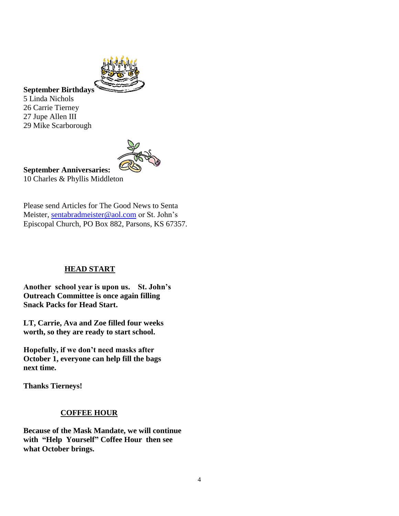

#### **September Birthdays**

5 Linda Nichols 26 Carrie Tierney 27 Jupe Allen III 29 Mike Scarborough



**September Anniversaries:** 10 Charles & Phyllis Middleton

Please send Articles for The Good News to Senta Meister, [sentabradmeister@aol.com](mailto:sentabradmeister@aol.com) or St. John's Episcopal Church, PO Box 882, Parsons, KS 67357.

#### **HEAD START**

**Another school year is upon us. St. John's Outreach Committee is once again filling Snack Packs for Head Start.**

**LT, Carrie, Ava and Zoe filled four weeks worth, so they are ready to start school.**

**Hopefully, if we don't need masks after October 1, everyone can help fill the bags next time.**

**Thanks Tierneys!**

#### **COFFEE HOUR**

**Because of the Mask Mandate, we will continue with "Help Yourself" Coffee Hour then see what October brings.**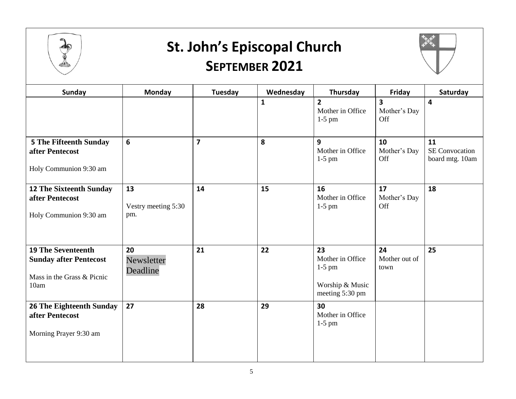

### **St. John's Episcopal Church SEPTEMBER 2021**



| Sunday                                                                                           | Monday                           | Tuesday                 | Wednesday    | Thursday                                                                 | Friday                                         | Saturday                                       |
|--------------------------------------------------------------------------------------------------|----------------------------------|-------------------------|--------------|--------------------------------------------------------------------------|------------------------------------------------|------------------------------------------------|
|                                                                                                  |                                  |                         | $\mathbf{1}$ | $\overline{2}$<br>Mother in Office<br>$1-5$ pm                           | $\overline{\mathbf{3}}$<br>Mother's Day<br>Off | 4                                              |
| <b>5 The Fifteenth Sunday</b><br>after Pentecost<br>Holy Communion 9:30 am                       | $6\phantom{1}$                   | $\overline{\mathbf{z}}$ | 8            | 9<br>Mother in Office<br>$1-5$ pm                                        | 10<br>Mother's Day<br>Off                      | 11<br><b>SE Convocation</b><br>board mtg. 10am |
| <b>12 The Sixteenth Sunday</b><br>after Pentecost<br>Holy Communion 9:30 am                      | 13<br>Vestry meeting 5:30<br>pm. | 14                      | 15           | 16<br>Mother in Office<br>$1-5$ pm                                       | 17<br>Mother's Day<br>Off                      | 18                                             |
| <b>19 The Seventeenth</b><br><b>Sunday after Pentecost</b><br>Mass in the Grass & Picnic<br>10am | 20<br>Newsletter<br>Deadline     | 21                      | 22           | 23<br>Mother in Office<br>$1-5$ pm<br>Worship & Music<br>meeting 5:30 pm | 24<br>Mother out of<br>town                    | 25                                             |
| <b>26 The Eighteenth Sunday</b><br>after Pentecost<br>Morning Prayer 9:30 am                     | 27                               | 28                      | 29           | 30<br>Mother in Office<br>$1-5$ pm                                       |                                                |                                                |